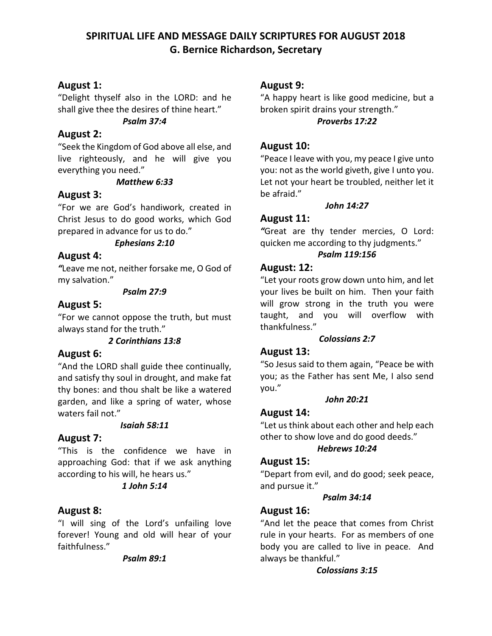# **SPIRITUAL LIFE AND MESSAGE DAILY SCRIPTURES FOR AUGUST 2018 G. Bernice Richardson, Secretary**

# **August 1:**

"Delight thyself also in the LORD: and he shall give thee the desires of thine heart."

#### *Psalm 37:4*

### **August 2:**

"Seek the Kingdom of God above all else, and live righteously, and he will give you everything you need."

#### *Matthew 6:33*

# **August 3:**

"For we are God's handiwork, created in Christ Jesus to do good works, which God prepared in advance for us to do."

### *Ephesians 2:10*

# **August 4:**

*"*Leave me not, neither forsake me, O God of my salvation."

#### *Psalm 27:9*

# **August 5:**

"For we cannot oppose the truth, but must always stand for the truth."

### *2 Corinthians 13:8*

# **August 6:**

"And the LORD shall guide thee continually, and satisfy thy soul in drought, and make fat thy bones: and thou shalt be like a watered garden, and like a spring of water, whose waters fail not."

### *Isaiah 58:11*

# **August 7:**

"This is the confidence we have in approaching God: that if we ask anything according to his will, he hears us."

### *1 John 5:14*

# **August 8:**

"I will sing of the Lord's unfailing love forever! Young and old will hear of your faithfulness."

#### *Psalm 89:1*

### **August 9:**

"A happy heart is like good medicine, but a broken spirit drains your strength." *Proverbs 17:22*

# **August 10:**

"Peace I leave with you, my peace I give unto you: not as the world giveth, give I unto you. Let not your heart be troubled, neither let it be afraid."

#### *John 14:27*

# **August 11:**

*"*Great are thy tender mercies, O Lord: quicken me according to thy judgments."

#### *Psalm 119:156*

### **August: 12:**

"Let your roots grow down unto him, and let your lives be built on him. Then your faith will grow strong in the truth you were taught, and you will overflow with thankfulness."

### *Colossians 2:7*

# **August 13:**

"So Jesus said to them again, "Peace be with you; as the Father has sent Me, I also send you."

### *John 20:21*

# **August 14:**

"Let us think about each other and help each other to show love and do good deeds."

# *Hebrews 10:24*

### **August 15:**

"Depart from evil, and do good; seek peace, and pursue it."

### *Psalm 34:14*

# **August 16:**

"And let the peace that comes from Christ rule in your hearts. For as members of one body you are called to live in peace. And always be thankful."

### *Colossians 3:15*